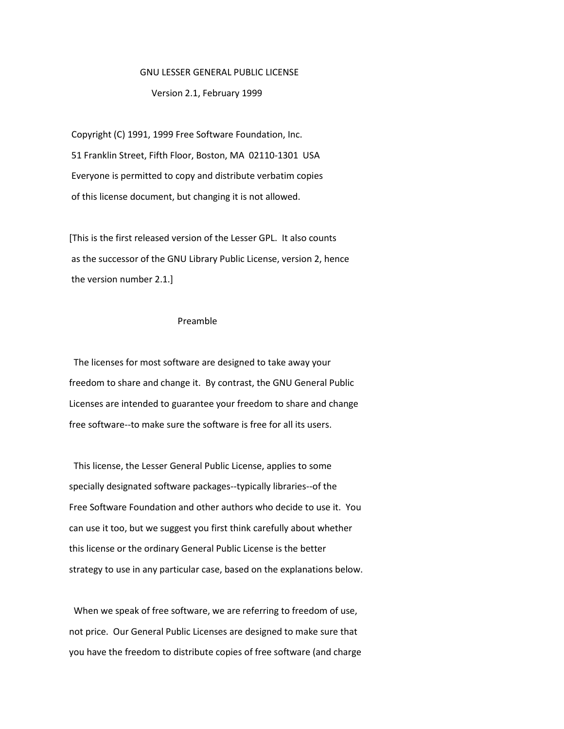#### GNU LESSER GENERAL PUBLIC LICENSE

# Version 2.1, February 1999

Copyright (C) 1991, 1999 Free Software Foundation, Inc. 51 Franklin Street, Fifth Floor, Boston, MA 02110-1301 USA Everyone is permitted to copy and distribute verbatim copies of this license document, but changing it is not allowed.

[This is the first released version of the Lesser GPL. It also counts as the successor of the GNU Library Public License, version 2, hence the version number 2.1.]

# Preamble

 The licenses for most software are designed to take away your freedom to share and change it. By contrast, the GNU General Public Licenses are intended to guarantee your freedom to share and change free software--to make sure the software is free for all its users.

 This license, the Lesser General Public License, applies to some specially designated software packages--typically libraries--of the Free Software Foundation and other authors who decide to use it. You can use it too, but we suggest you first think carefully about whether this license or the ordinary General Public License is the better strategy to use in any particular case, based on the explanations below.

 When we speak of free software, we are referring to freedom of use, not price. Our General Public Licenses are designed to make sure that you have the freedom to distribute copies of free software (and charge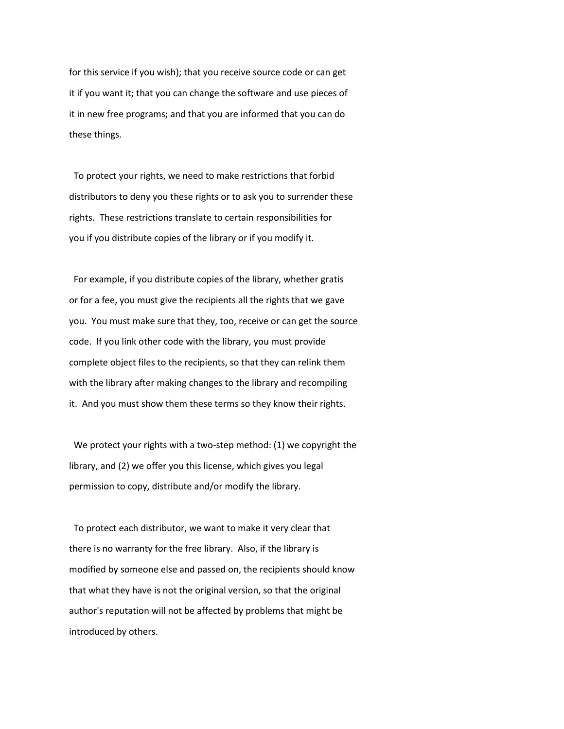for this service if you wish); that you receive source code or can get it if you want it; that you can change the software and use pieces of it in new free programs; and that you are informed that you can do these things.

 To protect your rights, we need to make restrictions that forbid distributors to deny you these rights or to ask you to surrender these rights. These restrictions translate to certain responsibilities for you if you distribute copies of the library or if you modify it.

 For example, if you distribute copies of the library, whether gratis or for a fee, you must give the recipients all the rights that we gave you. You must make sure that they, too, receive or can get the source code. If you link other code with the library, you must provide complete object files to the recipients, so that they can relink them with the library after making changes to the library and recompiling it. And you must show them these terms so they know their rights.

 We protect your rights with a two-step method: (1) we copyright the library, and (2) we offer you this license, which gives you legal permission to copy, distribute and/or modify the library.

 To protect each distributor, we want to make it very clear that there is no warranty for the free library. Also, if the library is modified by someone else and passed on, the recipients should know that what they have is not the original version, so that the original author's reputation will not be affected by problems that might be introduced by others.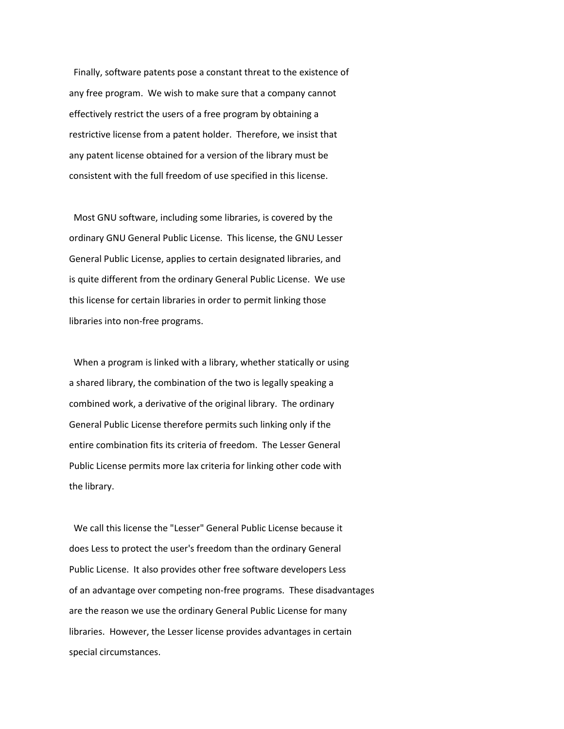Finally, software patents pose a constant threat to the existence of any free program. We wish to make sure that a company cannot effectively restrict the users of a free program by obtaining a restrictive license from a patent holder. Therefore, we insist that any patent license obtained for a version of the library must be consistent with the full freedom of use specified in this license.

 Most GNU software, including some libraries, is covered by the ordinary GNU General Public License. This license, the GNU Lesser General Public License, applies to certain designated libraries, and is quite different from the ordinary General Public License. We use this license for certain libraries in order to permit linking those libraries into non-free programs.

 When a program is linked with a library, whether statically or using a shared library, the combination of the two is legally speaking a combined work, a derivative of the original library. The ordinary General Public License therefore permits such linking only if the entire combination fits its criteria of freedom. The Lesser General Public License permits more lax criteria for linking other code with the library.

 We call this license the "Lesser" General Public License because it does Less to protect the user's freedom than the ordinary General Public License. It also provides other free software developers Less of an advantage over competing non-free programs. These disadvantages are the reason we use the ordinary General Public License for many libraries. However, the Lesser license provides advantages in certain special circumstances.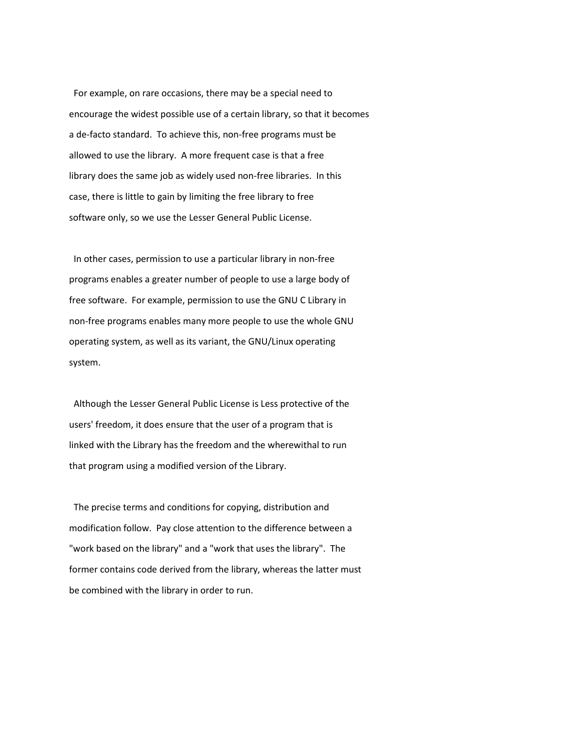For example, on rare occasions, there may be a special need to encourage the widest possible use of a certain library, so that it becomes a de-facto standard. To achieve this, non-free programs must be allowed to use the library. A more frequent case is that a free library does the same job as widely used non-free libraries. In this case, there is little to gain by limiting the free library to free software only, so we use the Lesser General Public License.

 In other cases, permission to use a particular library in non-free programs enables a greater number of people to use a large body of free software. For example, permission to use the GNU C Library in non-free programs enables many more people to use the whole GNU operating system, as well as its variant, the GNU/Linux operating system.

 Although the Lesser General Public License is Less protective of the users' freedom, it does ensure that the user of a program that is linked with the Library has the freedom and the wherewithal to run that program using a modified version of the Library.

 The precise terms and conditions for copying, distribution and modification follow. Pay close attention to the difference between a "work based on the library" and a "work that uses the library". The former contains code derived from the library, whereas the latter must be combined with the library in order to run.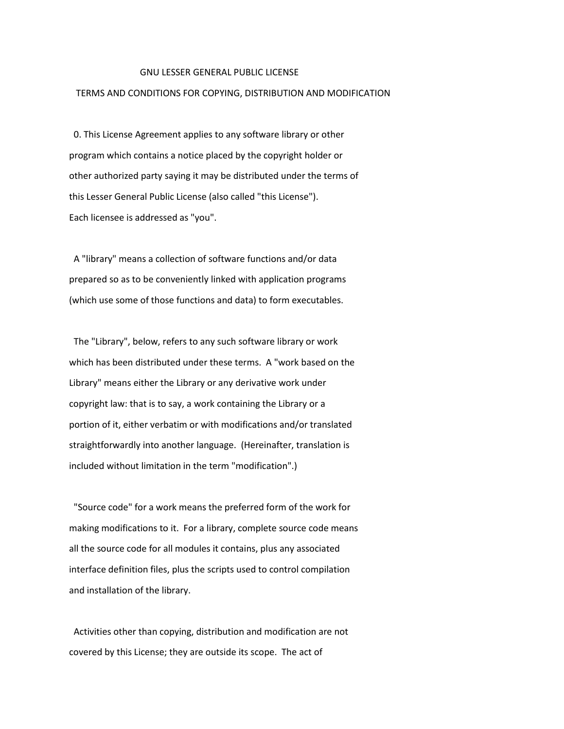### GNU LESSER GENERAL PUBLIC LICENSE

# TERMS AND CONDITIONS FOR COPYING, DISTRIBUTION AND MODIFICATION

 0. This License Agreement applies to any software library or other program which contains a notice placed by the copyright holder or other authorized party saying it may be distributed under the terms of this Lesser General Public License (also called "this License"). Each licensee is addressed as "you".

 A "library" means a collection of software functions and/or data prepared so as to be conveniently linked with application programs (which use some of those functions and data) to form executables.

 The "Library", below, refers to any such software library or work which has been distributed under these terms. A "work based on the Library" means either the Library or any derivative work under copyright law: that is to say, a work containing the Library or a portion of it, either verbatim or with modifications and/or translated straightforwardly into another language. (Hereinafter, translation is included without limitation in the term "modification".)

 "Source code" for a work means the preferred form of the work for making modifications to it. For a library, complete source code means all the source code for all modules it contains, plus any associated interface definition files, plus the scripts used to control compilation and installation of the library.

 Activities other than copying, distribution and modification are not covered by this License; they are outside its scope. The act of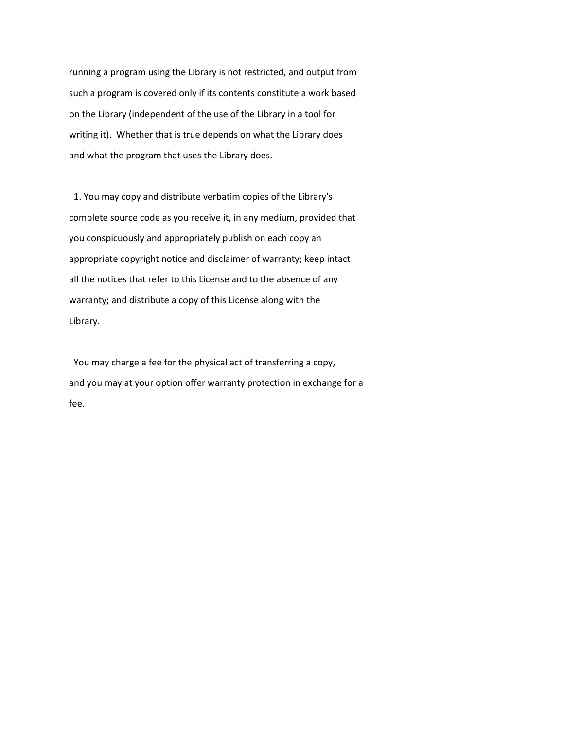running a program using the Library is not restricted, and output from such a program is covered only if its contents constitute a work based on the Library (independent of the use of the Library in a tool for writing it). Whether that is true depends on what the Library does and what the program that uses the Library does.

 1. You may copy and distribute verbatim copies of the Library's complete source code as you receive it, in any medium, provided that you conspicuously and appropriately publish on each copy an appropriate copyright notice and disclaimer of warranty; keep intact all the notices that refer to this License and to the absence of any warranty; and distribute a copy of this License along with the Library.

 You may charge a fee for the physical act of transferring a copy, and you may at your option offer warranty protection in exchange for a fee.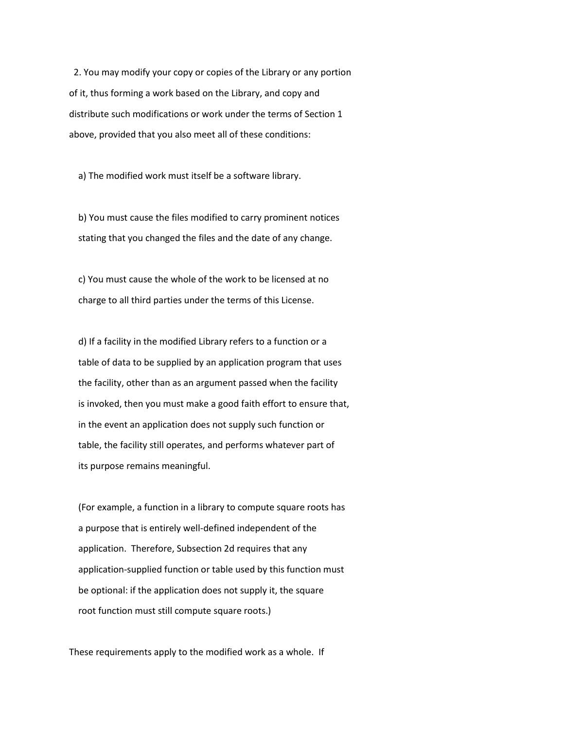2. You may modify your copy or copies of the Library or any portion of it, thus forming a work based on the Library, and copy and distribute such modifications or work under the terms of Section 1 above, provided that you also meet all of these conditions:

a) The modified work must itself be a software library.

 b) You must cause the files modified to carry prominent notices stating that you changed the files and the date of any change.

 c) You must cause the whole of the work to be licensed at no charge to all third parties under the terms of this License.

 d) If a facility in the modified Library refers to a function or a table of data to be supplied by an application program that uses the facility, other than as an argument passed when the facility is invoked, then you must make a good faith effort to ensure that, in the event an application does not supply such function or table, the facility still operates, and performs whatever part of its purpose remains meaningful.

 (For example, a function in a library to compute square roots has a purpose that is entirely well-defined independent of the application. Therefore, Subsection 2d requires that any application-supplied function or table used by this function must be optional: if the application does not supply it, the square root function must still compute square roots.)

These requirements apply to the modified work as a whole. If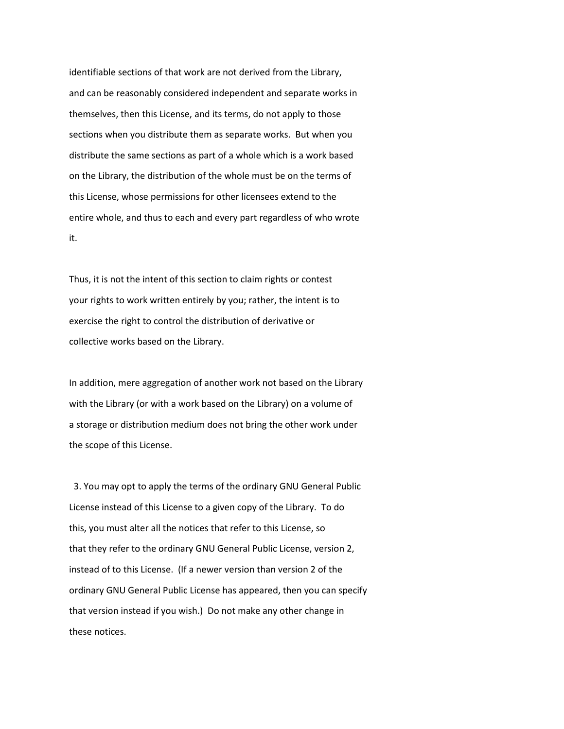identifiable sections of that work are not derived from the Library, and can be reasonably considered independent and separate works in themselves, then this License, and its terms, do not apply to those sections when you distribute them as separate works. But when you distribute the same sections as part of a whole which is a work based on the Library, the distribution of the whole must be on the terms of this License, whose permissions for other licensees extend to the entire whole, and thus to each and every part regardless of who wrote it.

Thus, it is not the intent of this section to claim rights or contest your rights to work written entirely by you; rather, the intent is to exercise the right to control the distribution of derivative or collective works based on the Library.

In addition, mere aggregation of another work not based on the Library with the Library (or with a work based on the Library) on a volume of a storage or distribution medium does not bring the other work under the scope of this License.

 3. You may opt to apply the terms of the ordinary GNU General Public License instead of this License to a given copy of the Library. To do this, you must alter all the notices that refer to this License, so that they refer to the ordinary GNU General Public License, version 2, instead of to this License. (If a newer version than version 2 of the ordinary GNU General Public License has appeared, then you can specify that version instead if you wish.) Do not make any other change in these notices.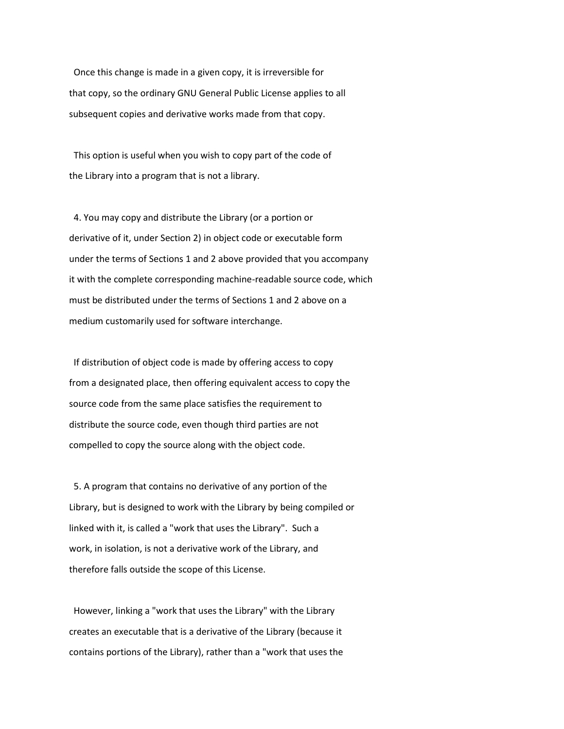Once this change is made in a given copy, it is irreversible for that copy, so the ordinary GNU General Public License applies to all subsequent copies and derivative works made from that copy.

 This option is useful when you wish to copy part of the code of the Library into a program that is not a library.

 4. You may copy and distribute the Library (or a portion or derivative of it, under Section 2) in object code or executable form under the terms of Sections 1 and 2 above provided that you accompany it with the complete corresponding machine-readable source code, which must be distributed under the terms of Sections 1 and 2 above on a medium customarily used for software interchange.

 If distribution of object code is made by offering access to copy from a designated place, then offering equivalent access to copy the source code from the same place satisfies the requirement to distribute the source code, even though third parties are not compelled to copy the source along with the object code.

 5. A program that contains no derivative of any portion of the Library, but is designed to work with the Library by being compiled or linked with it, is called a "work that uses the Library". Such a work, in isolation, is not a derivative work of the Library, and therefore falls outside the scope of this License.

 However, linking a "work that uses the Library" with the Library creates an executable that is a derivative of the Library (because it contains portions of the Library), rather than a "work that uses the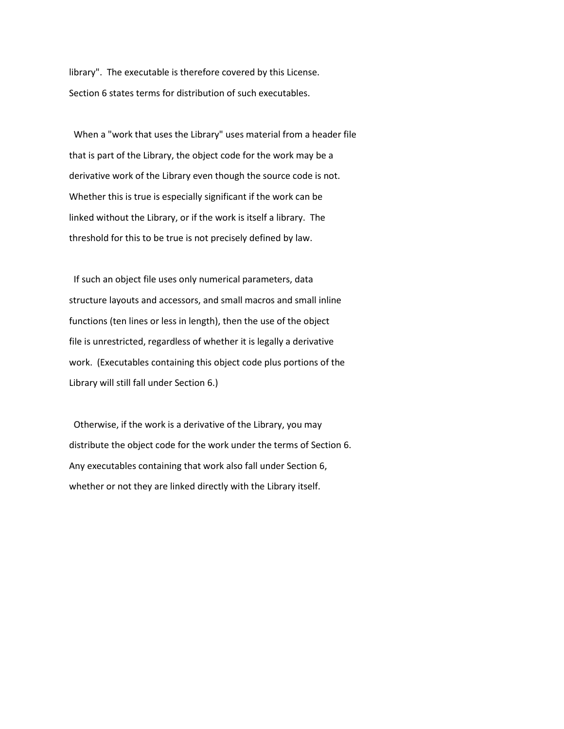library". The executable is therefore covered by this License. Section 6 states terms for distribution of such executables.

 When a "work that uses the Library" uses material from a header file that is part of the Library, the object code for the work may be a derivative work of the Library even though the source code is not. Whether this is true is especially significant if the work can be linked without the Library, or if the work is itself a library. The threshold for this to be true is not precisely defined by law.

 If such an object file uses only numerical parameters, data structure layouts and accessors, and small macros and small inline functions (ten lines or less in length), then the use of the object file is unrestricted, regardless of whether it is legally a derivative work. (Executables containing this object code plus portions of the Library will still fall under Section 6.)

 Otherwise, if the work is a derivative of the Library, you may distribute the object code for the work under the terms of Section 6. Any executables containing that work also fall under Section 6, whether or not they are linked directly with the Library itself.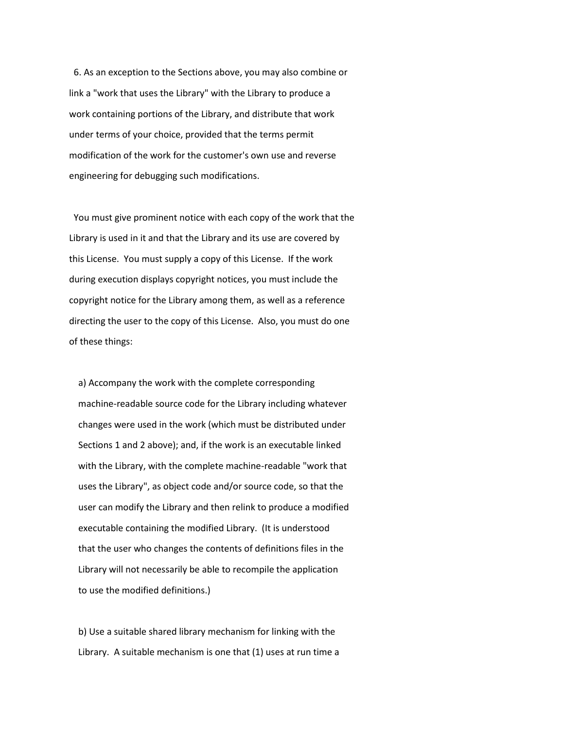6. As an exception to the Sections above, you may also combine or link a "work that uses the Library" with the Library to produce a work containing portions of the Library, and distribute that work under terms of your choice, provided that the terms permit modification of the work for the customer's own use and reverse engineering for debugging such modifications.

 You must give prominent notice with each copy of the work that the Library is used in it and that the Library and its use are covered by this License. You must supply a copy of this License. If the work during execution displays copyright notices, you must include the copyright notice for the Library among them, as well as a reference directing the user to the copy of this License. Also, you must do one of these things:

 a) Accompany the work with the complete corresponding machine-readable source code for the Library including whatever changes were used in the work (which must be distributed under Sections 1 and 2 above); and, if the work is an executable linked with the Library, with the complete machine-readable "work that uses the Library", as object code and/or source code, so that the user can modify the Library and then relink to produce a modified executable containing the modified Library. (It is understood that the user who changes the contents of definitions files in the Library will not necessarily be able to recompile the application to use the modified definitions.)

 b) Use a suitable shared library mechanism for linking with the Library. A suitable mechanism is one that (1) uses at run time a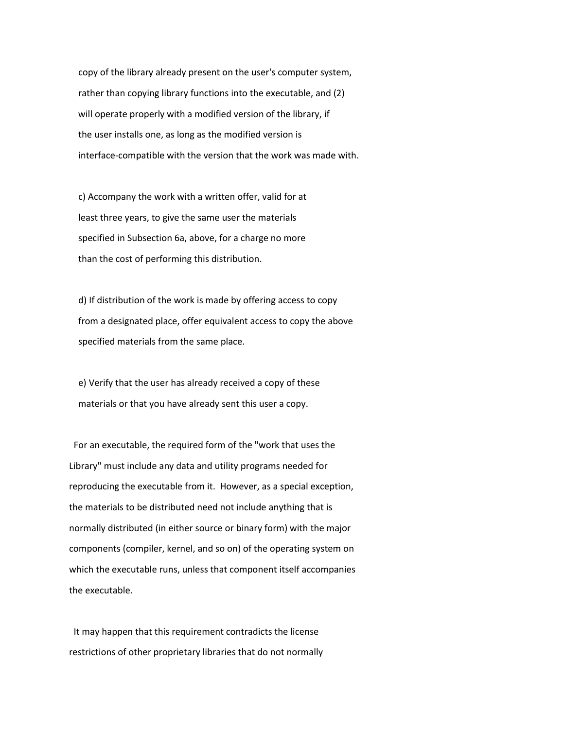copy of the library already present on the user's computer system, rather than copying library functions into the executable, and (2) will operate properly with a modified version of the library, if the user installs one, as long as the modified version is interface-compatible with the version that the work was made with.

 c) Accompany the work with a written offer, valid for at least three years, to give the same user the materials specified in Subsection 6a, above, for a charge no more than the cost of performing this distribution.

 d) If distribution of the work is made by offering access to copy from a designated place, offer equivalent access to copy the above specified materials from the same place.

 e) Verify that the user has already received a copy of these materials or that you have already sent this user a copy.

 For an executable, the required form of the "work that uses the Library" must include any data and utility programs needed for reproducing the executable from it. However, as a special exception, the materials to be distributed need not include anything that is normally distributed (in either source or binary form) with the major components (compiler, kernel, and so on) of the operating system on which the executable runs, unless that component itself accompanies the executable.

 It may happen that this requirement contradicts the license restrictions of other proprietary libraries that do not normally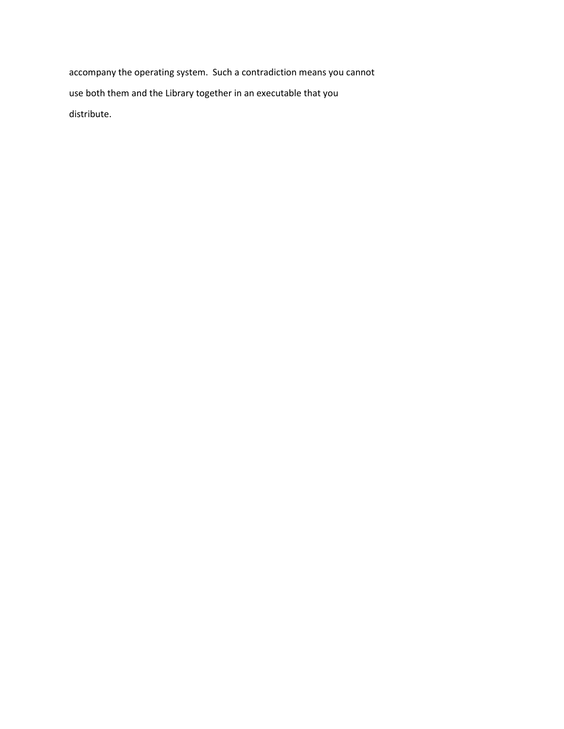accompany the operating system. Such a contradiction means you cannot use both them and the Library together in an executable that you distribute.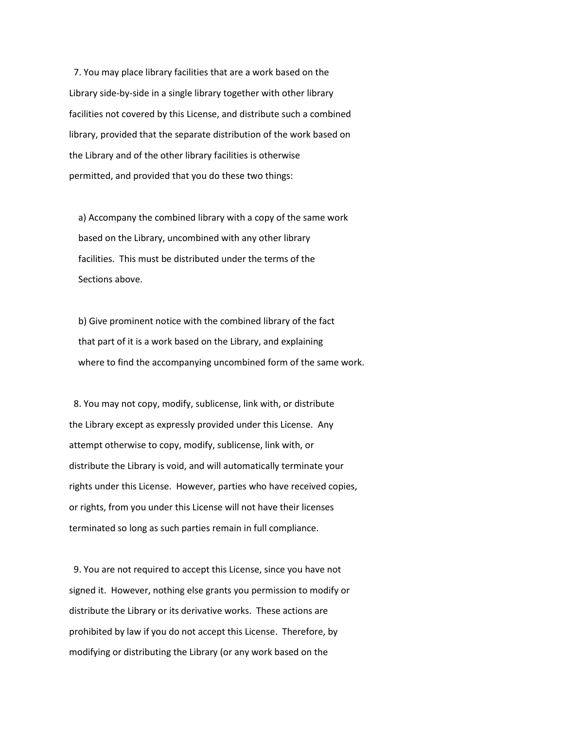7. You may place library facilities that are a work based on the Library side-by-side in a single library together with other library facilities not covered by this License, and distribute such a combined library, provided that the separate distribution of the work based on the Library and of the other library facilities is otherwise permitted, and provided that you do these two things:

 a) Accompany the combined library with a copy of the same work based on the Library, uncombined with any other library facilities. This must be distributed under the terms of the Sections above.

 b) Give prominent notice with the combined library of the fact that part of it is a work based on the Library, and explaining where to find the accompanying uncombined form of the same work.

 8. You may not copy, modify, sublicense, link with, or distribute the Library except as expressly provided under this License. Any attempt otherwise to copy, modify, sublicense, link with, or distribute the Library is void, and will automatically terminate your rights under this License. However, parties who have received copies, or rights, from you under this License will not have their licenses terminated so long as such parties remain in full compliance.

 9. You are not required to accept this License, since you have not signed it. However, nothing else grants you permission to modify or distribute the Library or its derivative works. These actions are prohibited by law if you do not accept this License. Therefore, by modifying or distributing the Library (or any work based on the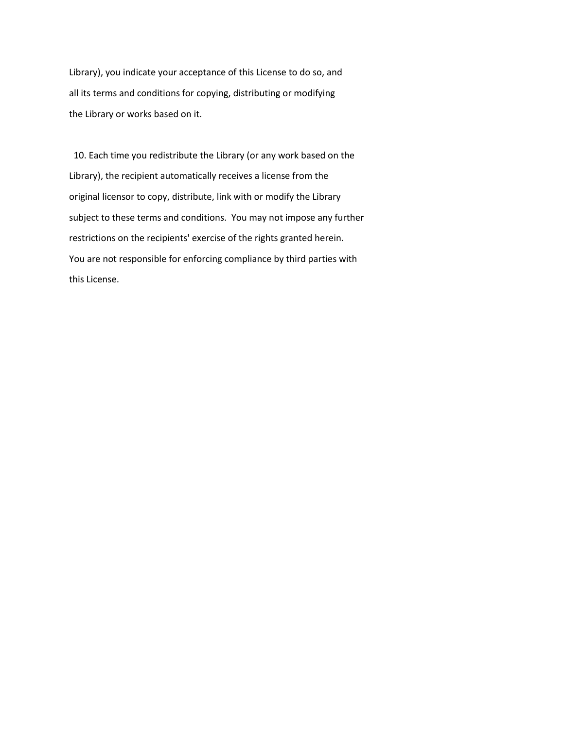Library), you indicate your acceptance of this License to do so, and all its terms and conditions for copying, distributing or modifying the Library or works based on it.

 10. Each time you redistribute the Library (or any work based on the Library), the recipient automatically receives a license from the original licensor to copy, distribute, link with or modify the Library subject to these terms and conditions. You may not impose any further restrictions on the recipients' exercise of the rights granted herein. You are not responsible for enforcing compliance by third parties with this License.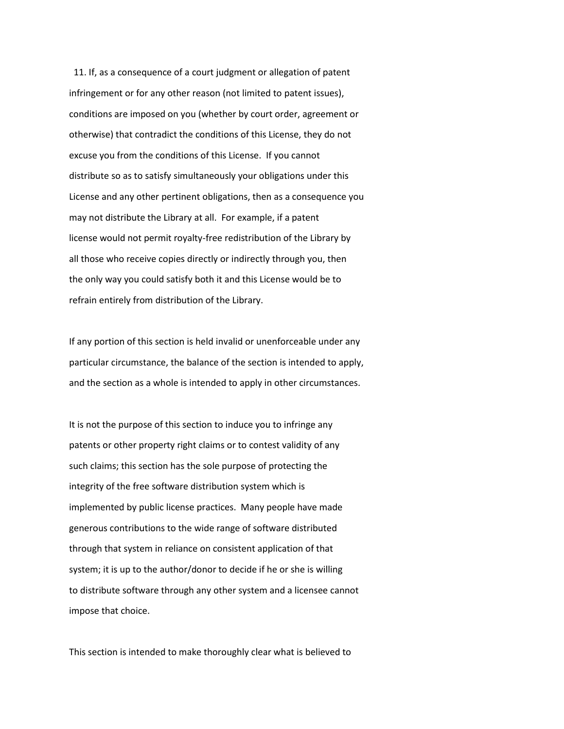11. If, as a consequence of a court judgment or allegation of patent infringement or for any other reason (not limited to patent issues), conditions are imposed on you (whether by court order, agreement or otherwise) that contradict the conditions of this License, they do not excuse you from the conditions of this License. If you cannot distribute so as to satisfy simultaneously your obligations under this License and any other pertinent obligations, then as a consequence you may not distribute the Library at all. For example, if a patent license would not permit royalty-free redistribution of the Library by all those who receive copies directly or indirectly through you, then the only way you could satisfy both it and this License would be to refrain entirely from distribution of the Library.

If any portion of this section is held invalid or unenforceable under any particular circumstance, the balance of the section is intended to apply, and the section as a whole is intended to apply in other circumstances.

It is not the purpose of this section to induce you to infringe any patents or other property right claims or to contest validity of any such claims; this section has the sole purpose of protecting the integrity of the free software distribution system which is implemented by public license practices. Many people have made generous contributions to the wide range of software distributed through that system in reliance on consistent application of that system; it is up to the author/donor to decide if he or she is willing to distribute software through any other system and a licensee cannot impose that choice.

This section is intended to make thoroughly clear what is believed to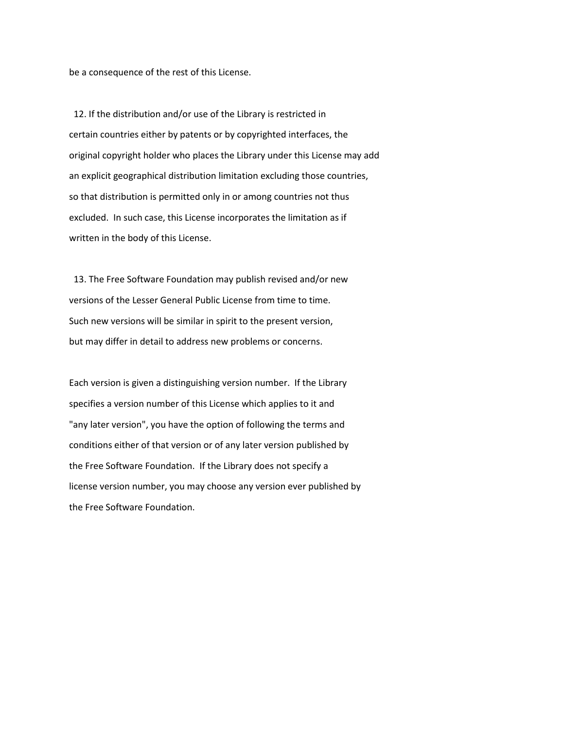be a consequence of the rest of this License.

 12. If the distribution and/or use of the Library is restricted in certain countries either by patents or by copyrighted interfaces, the original copyright holder who places the Library under this License may add an explicit geographical distribution limitation excluding those countries, so that distribution is permitted only in or among countries not thus excluded. In such case, this License incorporates the limitation as if written in the body of this License.

 13. The Free Software Foundation may publish revised and/or new versions of the Lesser General Public License from time to time. Such new versions will be similar in spirit to the present version, but may differ in detail to address new problems or concerns.

Each version is given a distinguishing version number. If the Library specifies a version number of this License which applies to it and "any later version", you have the option of following the terms and conditions either of that version or of any later version published by the Free Software Foundation. If the Library does not specify a license version number, you may choose any version ever published by the Free Software Foundation.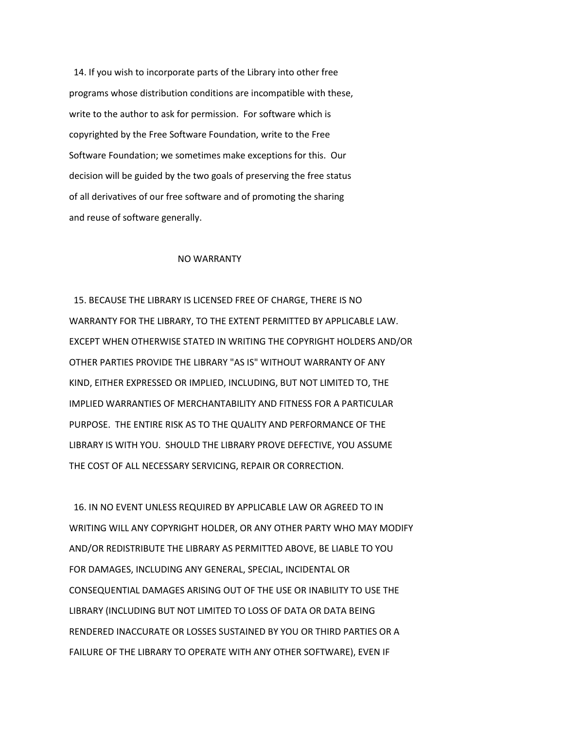14. If you wish to incorporate parts of the Library into other free programs whose distribution conditions are incompatible with these, write to the author to ask for permission. For software which is copyrighted by the Free Software Foundation, write to the Free Software Foundation; we sometimes make exceptions for this. Our decision will be guided by the two goals of preserving the free status of all derivatives of our free software and of promoting the sharing and reuse of software generally.

## NO WARRANTY

 15. BECAUSE THE LIBRARY IS LICENSED FREE OF CHARGE, THERE IS NO WARRANTY FOR THE LIBRARY, TO THE EXTENT PERMITTED BY APPLICABLE LAW. EXCEPT WHEN OTHERWISE STATED IN WRITING THE COPYRIGHT HOLDERS AND/OR OTHER PARTIES PROVIDE THE LIBRARY "AS IS" WITHOUT WARRANTY OF ANY KIND, EITHER EXPRESSED OR IMPLIED, INCLUDING, BUT NOT LIMITED TO, THE IMPLIED WARRANTIES OF MERCHANTABILITY AND FITNESS FOR A PARTICULAR PURPOSE. THE ENTIRE RISK AS TO THE QUALITY AND PERFORMANCE OF THE LIBRARY IS WITH YOU. SHOULD THE LIBRARY PROVE DEFECTIVE, YOU ASSUME THE COST OF ALL NECESSARY SERVICING, REPAIR OR CORRECTION.

 16. IN NO EVENT UNLESS REQUIRED BY APPLICABLE LAW OR AGREED TO IN WRITING WILL ANY COPYRIGHT HOLDER, OR ANY OTHER PARTY WHO MAY MODIFY AND/OR REDISTRIBUTE THE LIBRARY AS PERMITTED ABOVE, BE LIABLE TO YOU FOR DAMAGES, INCLUDING ANY GENERAL, SPECIAL, INCIDENTAL OR CONSEQUENTIAL DAMAGES ARISING OUT OF THE USE OR INABILITY TO USE THE LIBRARY (INCLUDING BUT NOT LIMITED TO LOSS OF DATA OR DATA BEING RENDERED INACCURATE OR LOSSES SUSTAINED BY YOU OR THIRD PARTIES OR A FAILURE OF THE LIBRARY TO OPERATE WITH ANY OTHER SOFTWARE), EVEN IF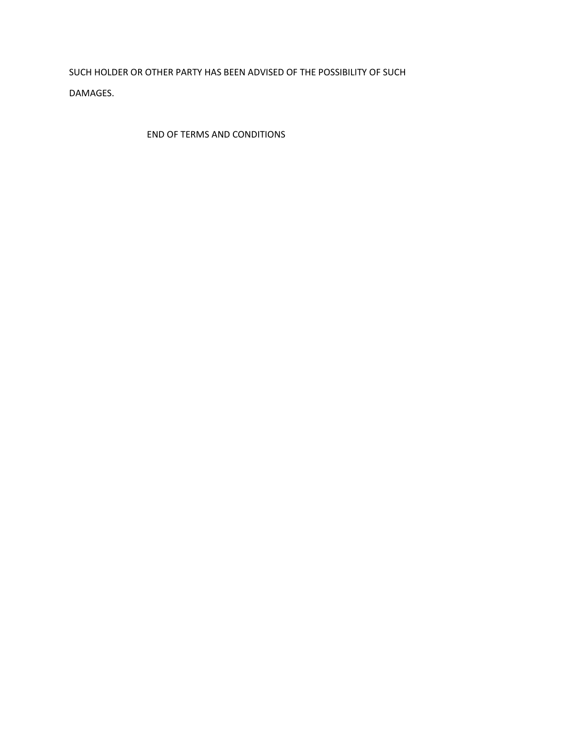SUCH HOLDER OR OTHER PARTY HAS BEEN ADVISED OF THE POSSIBILITY OF SUCH DAMAGES.

END OF TERMS AND CONDITIONS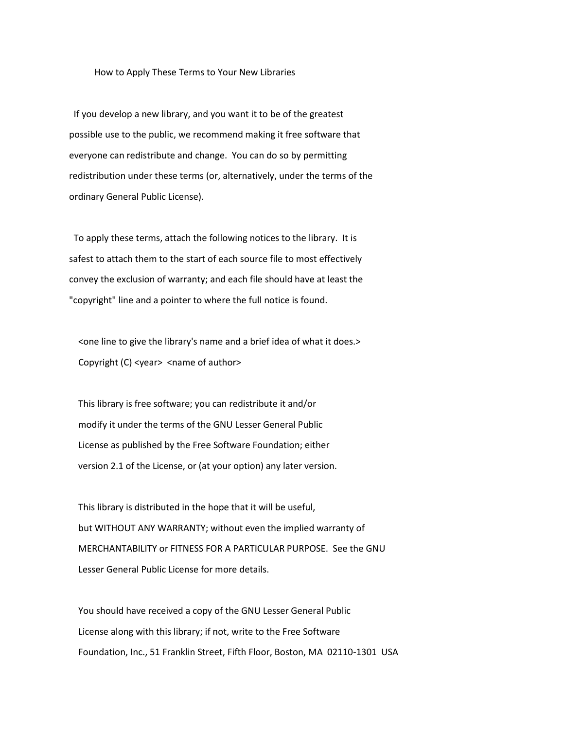#### How to Apply These Terms to Your New Libraries

 If you develop a new library, and you want it to be of the greatest possible use to the public, we recommend making it free software that everyone can redistribute and change. You can do so by permitting redistribution under these terms (or, alternatively, under the terms of the ordinary General Public License).

 To apply these terms, attach the following notices to the library. It is safest to attach them to the start of each source file to most effectively convey the exclusion of warranty; and each file should have at least the "copyright" line and a pointer to where the full notice is found.

 <one line to give the library's name and a brief idea of what it does.> Copyright (C) <year> <name of author>

 This library is free software; you can redistribute it and/or modify it under the terms of the GNU Lesser General Public License as published by the Free Software Foundation; either version 2.1 of the License, or (at your option) any later version.

 This library is distributed in the hope that it will be useful, but WITHOUT ANY WARRANTY; without even the implied warranty of MERCHANTABILITY or FITNESS FOR A PARTICULAR PURPOSE. See the GNU Lesser General Public License for more details.

 You should have received a copy of the GNU Lesser General Public License along with this library; if not, write to the Free Software Foundation, Inc., 51 Franklin Street, Fifth Floor, Boston, MA 02110-1301 USA